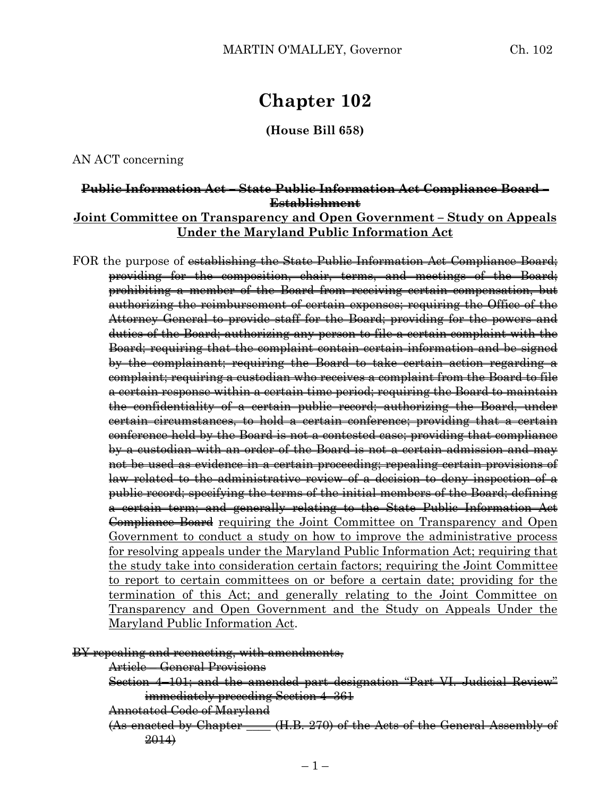# **Chapter 102**

**(House Bill 658)**

AN ACT concerning

# **Public Information Act – State Public Information Act Compliance Board – Establishment Joint Committee on Transparency and Open Government – Study on Appeals Under the Maryland Public Information Act**

FOR the purpose of establishing the State Public Information Act Compliance Board; providing for the composition, chair, terms, and meetings of the Board; prohibiting a member of the Board from receiving certain compensation, but authorizing the reimbursement of certain expenses; requiring the Office of the Attorney General to provide staff for the Board; providing for the powers and duties of the Board; authorizing any person to file a certain complaint with the Board; requiring that the complaint contain certain information and be signed by the complainant; requiring the Board to take certain action regarding a complaint; requiring a custodian who receives a complaint from the Board to file a certain response within a certain time period; requiring the Board to maintain the confidentiality of a certain public record; authorizing the Board, under certain circumstances, to hold a certain conference; providing that a certain conference held by the Board is not a contested case; providing that compliance by a custodian with an order of the Board is not a certain admission and may not be used as evidence in a certain proceeding; repealing certain provisions of law related to the administrative review of a decision to deny inspection of a public record; specifying the terms of the initial members of the Board; defining a certain term; and generally relating to the State Public Information Act Compliance Board requiring the Joint Committee on Transparency and Open Government to conduct a study on how to improve the administrative process for resolving appeals under the Maryland Public Information Act; requiring that the study take into consideration certain factors; requiring the Joint Committee to report to certain committees on or before a certain date; providing for the termination of this Act; and generally relating to the Joint Committee on Transparency and Open Government and the Study on Appeals Under the Maryland Public Information Act.

BY repealing and reenacting, with amendments,

Article – General Provisions

Section 4–101; and the amended part designation "Part VI. Judicial Review" immediately preceding Section 4-361

Annotated Code of Maryland

 $(As$  enacted by Chapter  $(H.B. 270)$  of the Acts of the General Assembly of 2014)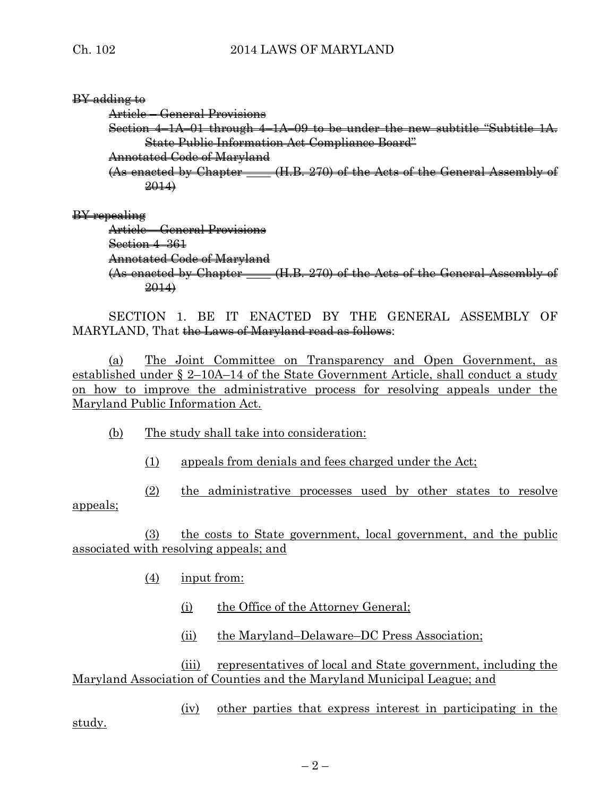# BY adding to

Article – General Provisions

Section  $4-1A$ –01 through  $4-1A$ –09 to be under the new subtitle "Subtitle  $1A$ . State Public Information Act Compliance Board"

Annotated Code of Maryland

 $(As$  enacted by Chapter  $(H.B. 270)$  of the Acts of the General Assembly of 2014)

# BY repealing

Article – General Provisions Section 4–361 Annotated Code of Maryland  $(As$  enacted by Chapter  $(H.B. 270)$  of the Acts of the General Assembly of 2014)

SECTION 1. BE IT ENACTED BY THE GENERAL ASSEMBLY OF MARYLAND, That the Laws of Maryland read as follows:

(a) The Joint Committee on Transparency and Open Government, as established under § 2–10A–14 of the State Government Article, shall conduct a study on how to improve the administrative process for resolving appeals under the Maryland Public Information Act.

- (b) The study shall take into consideration:
	- (1) appeals from denials and fees charged under the Act;

(2) the administrative processes used by other states to resolve appeals;

(3) the costs to State government, local government, and the public associated with resolving appeals; and

- (4) input from:
	- (i) the Office of the Attorney General;
	- (ii) the Maryland–Delaware–DC Press Association;

(iii) representatives of local and State government, including the Maryland Association of Counties and the Maryland Municipal League; and

(iv) other parties that express interest in participating in the

study.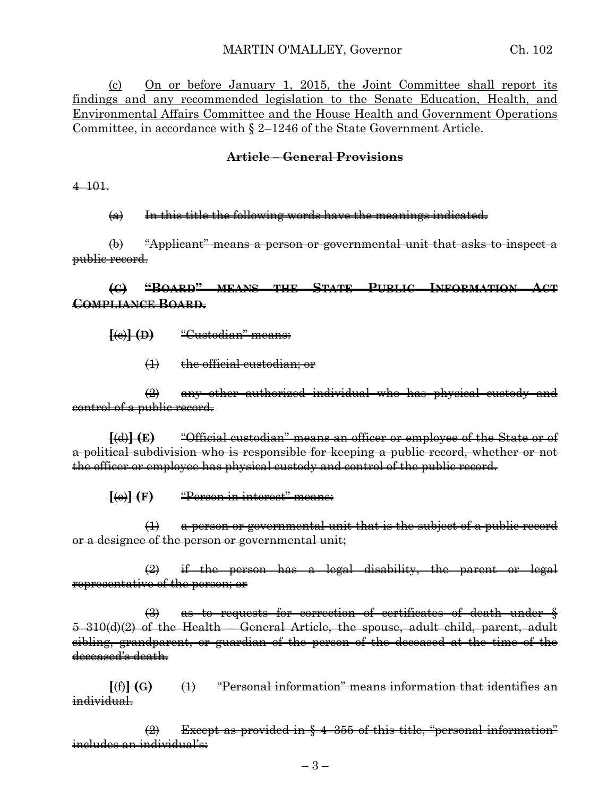(c) On or before January 1, 2015, the Joint Committee shall report its findings and any recommended legislation to the Senate Education, Health, and Environmental Affairs Committee and the House Health and Government Operations Committee, in accordance with § 2–1246 of the State Government Article.

## **Article – General Provisions**

#### 4–101.

 $(a)$  In this title the following words have the meanings indicated.

(b) "Applicant" means a person or governmental unit that asks to inspect a public record.

# **(C) "BOARD" MEANS THE STATE PUBLIC INFORMATION ACT COMPLIANCE BOARD.**

**[**(c)**] (D)** "Custodian" means:

(1) the official custodian; or

(2) any other authorized individual who has physical custody and control of a public record.

**[**(d)**] (E)** "Official custodian" means an officer or employee of the State or of a political subdivision who is responsible for keeping a public record, whether or not the officer or employee has physical custody and control of the public record.

**[**(e)**] (F)** "Person in interest" means:

(1) a person or governmental unit that is the subject of a public record or a designee of the person or governmental unit;

 $\left( 2 \right)$  if the person has a legal disability, the parent or legal representative of the person; or

(3) as to requests for correction of certificates of death under § 5–310(d)(2) of the Health – General Article, the spouse, adult child, parent, adult sibling, grandparent, or guardian of the person of the deceased at the time of the deceased's death.

**[**(f)**] (G)** (1) "Personal information" means information that identifies an individual.

 $\Rightarrow$  Except as provided in  $\frac{1}{2}$  4–355 of this title, "personal information" includes an individual's: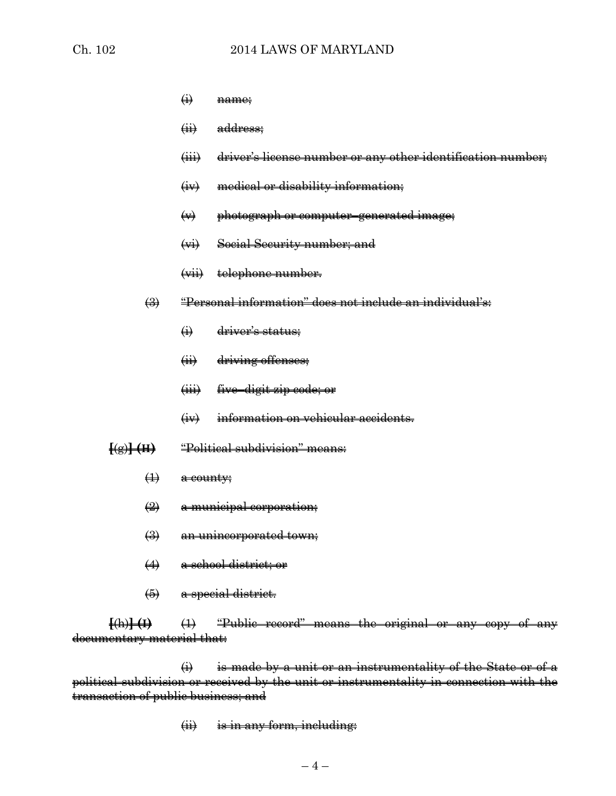- $~~(i)~~$  name;</del>
- (ii) address;
- (iii) driver's license number or any other identification number;
- (iv) medical or disability information;
- $\leftrightarrow$  photograph or computer–generated image;
- (vi) Social Security number; and
- (vii) telephone number.
- (3) "Personal information" does not include an individual's:
	- (i) driver's status;
	- (ii) driving offenses;
	- (iii) five–digit zip code; or
	- (iv) information on vehicular accidents.
- **[**(g)**] (H)** "Political subdivision" means:
	- $\overline{4}$  a county;
	- (2) a municipal corporation;
	- (3) an unincorporated town;
	- (4) a school district; or
	- (5) a special district.

**[**(h)**] (I)** (1) "Public record" means the original or any copy of any documentary material that:

 $\overrightarrow{H}$  is made by a unit or an instrumentality of the State or of a political subdivision or received by the unit or instrumentality in connection with the transaction of public business; and

 $(i)$  is in any form, including: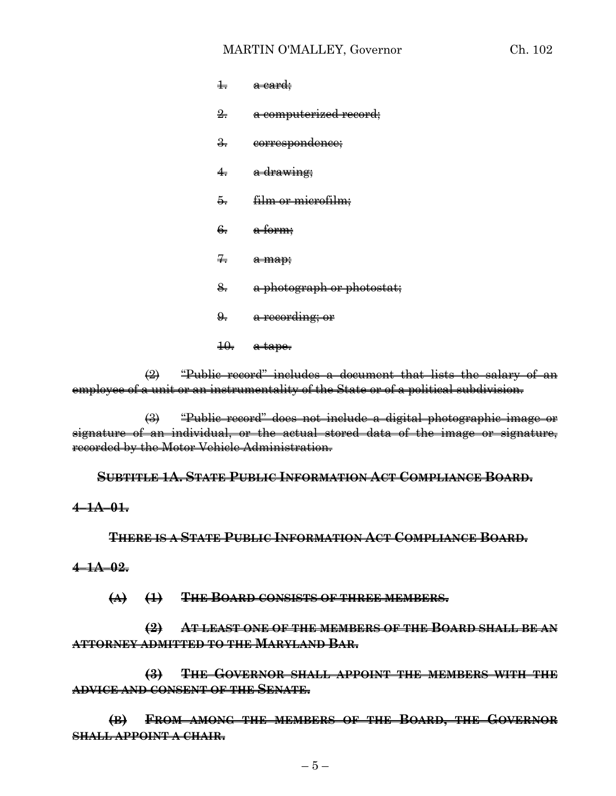#### MARTIN O'MALLEY, Governor Ch. 102

| $\pm$         | <del>a card;</del>            |
|---------------|-------------------------------|
| $\frac{9}{2}$ | a computerized record;        |
| $\frac{9}{2}$ | eorrespondence;               |
| 4.            | <del>a drawing;</del>         |
| 5.            | <del>film or microfilm;</del> |
| 6.            | <del>a form;</del>            |
| Ŧ.            | a map;                        |
| 8.            | a photograph or photostat;    |
| 9.            | <del>a recording; or</del>    |
| ₩.            | <del>a tape.</del>            |

 $\left(2\right)$  "Public record" includes a document that lists the salary of an employee of a unit or an instrumentality of the State or of a political subdivision.

(3) "Public record" does not include a digital photographic image or signature of an individual, or the actual stored data of the image or signature, recorded by the Motor Vehicle Administration.

**SUBTITLE 1A. STATE PUBLIC INFORMATION ACT COMPLIANCE BOARD.**

#### **4–1A–01.**

**THERE IS A STATE PUBLIC INFORMATION ACT COMPLIANCE BOARD.**

#### **4–1A–02.**

**(A) (1) THE BOARD CONSISTS OF THREE MEMBERS.**

**(2) AT LEAST ONE OF THE MEMBERS OF THE BOARD SHALL BE AN ATTORNEY ADMITTED TO THE MARYLAND BAR.**

**(3) THE GOVERNOR SHALL APPOINT THE MEMBERS WITH THE ADVICE AND CONSENT OF THE SENATE.**

**(B) FROM AMONG THE MEMBERS OF THE BOARD, THE GOVERNOR SHALL APPOINT A CHAIR.**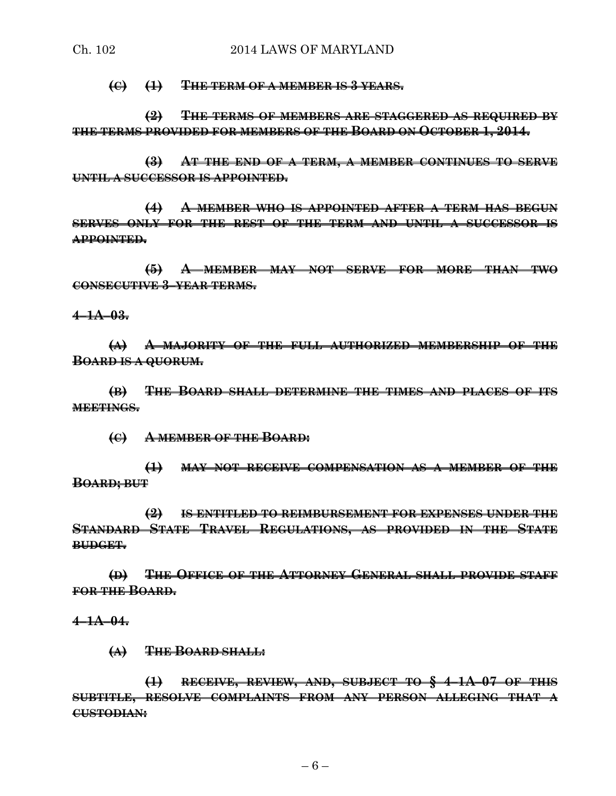**(C) (1) THE TERM OF A MEMBER IS 3 YEARS.**

**(2) THE TERMS OF MEMBERS ARE STAGGERED AS REQUIRED BY THE TERMS PROVIDED FOR MEMBERS OF THE BOARD ON OCTOBER 1, 2014.**

**(3) AT THE END OF A TERM, A MEMBER CONTINUES TO SERVE UNTIL A SUCCESSOR IS APPOINTED.**

**(4) A MEMBER WHO IS APPOINTED AFTER A TERM HAS BEGUN SERVES ONLY FOR THE REST OF THE TERM AND UNTIL A SUCCESSOR IS APPOINTED.**

**(5) A MEMBER MAY NOT SERVE FOR MORE THAN TWO CONSECUTIVE 3–YEAR TERMS.**

**4–1A–03.**

**(A) A MAJORITY OF THE FULL AUTHORIZED MEMBERSHIP OF THE BOARD IS A QUORUM.**

**(B) THE BOARD SHALL DETERMINE THE TIMES AND PLACES OF ITS MEETINGS.**

**(C) A MEMBER OF THE BOARD:**

**(1) MAY NOT RECEIVE COMPENSATION AS A MEMBER OF THE BOARD; BUT**

**(2) IS ENTITLED TO REIMBURSEMENT FOR EXPENSES UNDER THE STANDARD STATE TRAVEL REGULATIONS, AS PROVIDED IN THE STATE BUDGET.**

**(D) THE OFFICE OF THE ATTORNEY GENERAL SHALL PROVIDE STAFF FOR THE BOARD.**

**4–1A–04.**

**(A) THE BOARD SHALL:**

**(1) RECEIVE, REVIEW, AND, SUBJECT TO § 4–1A–07 OF THIS SUBTITLE, RESOLVE COMPLAINTS FROM ANY PERSON ALLEGING THAT A CUSTODIAN:**

 $-6-$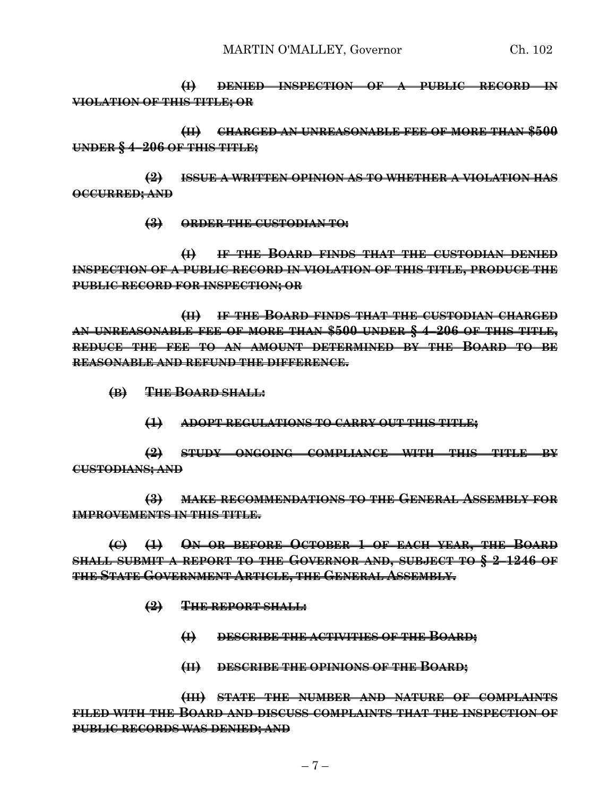**(I) DENIED INSPECTION OF A PUBLIC RECORD IN VIOLATION OF THIS TITLE; OR**

**(II) CHARGED AN UNREASONABLE FEE OF MORE THAN \$500 UNDER § 4–206 OF THIS TITLE;**

**(2) ISSUE A WRITTEN OPINION AS TO WHETHER A VIOLATION HAS OCCURRED; AND**

**(3) ORDER THE CUSTODIAN TO:**

**(I) IF THE BOARD FINDS THAT THE CUSTODIAN DENIED INSPECTION OF A PUBLIC RECORD IN VIOLATION OF THIS TITLE, PRODUCE THE PUBLIC RECORD FOR INSPECTION; OR**

**(II) IF THE BOARD FINDS THAT THE CUSTODIAN CHARGED AN UNREASONABLE FEE OF MORE THAN \$500 UNDER § 4–206 OF THIS TITLE, REDUCE THE FEE TO AN AMOUNT DETERMINED BY THE BOARD TO BE REASONABLE AND REFUND THE DIFFERENCE.**

- **(B) THE BOARD SHALL:**
	- **(1) ADOPT REGULATIONS TO CARRY OUT THIS TITLE;**

**(2) STUDY ONGOING COMPLIANCE WITH THIS TITLE BY CUSTODIANS; AND**

**(3) MAKE RECOMMENDATIONS TO THE GENERAL ASSEMBLY FOR IMPROVEMENTS IN THIS TITLE.**

**(C) (1) ON OR BEFORE OCTOBER 1 OF EACH YEAR, THE BOARD SHALL SUBMIT A REPORT TO THE GOVERNOR AND, SUBJECT TO § 2–1246 OF THE STATE GOVERNMENT ARTICLE, THE GENERAL ASSEMBLY.**

- **(2) THE REPORT SHALL:**
	- **(I) DESCRIBE THE ACTIVITIES OF THE BOARD;**
	- **(II) DESCRIBE THE OPINIONS OF THE BOARD;**

**(III) STATE THE NUMBER AND NATURE OF COMPLAINTS FILED WITH THE BOARD AND DISCUSS COMPLAINTS THAT THE INSPECTION OF PUBLIC RECORDS WAS DENIED; AND**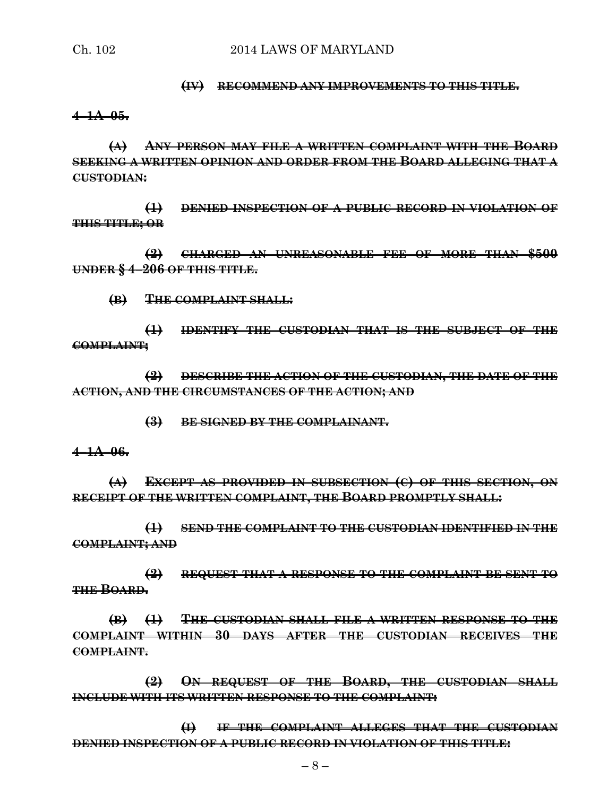#### **(IV) RECOMMEND ANY IMPROVEMENTS TO THIS TITLE.**

#### **4–1A–05.**

**(A) ANY PERSON MAY FILE A WRITTEN COMPLAINT WITH THE BOARD SEEKING A WRITTEN OPINION AND ORDER FROM THE BOARD ALLEGING THAT A CUSTODIAN:**

**(1) DENIED INSPECTION OF A PUBLIC RECORD IN VIOLATION OF THIS TITLE; OR**

**(2) CHARGED AN UNREASONABLE FEE OF MORE THAN \$500 UNDER § 4–206 OF THIS TITLE.**

**(B) THE COMPLAINT SHALL:**

**(1) IDENTIFY THE CUSTODIAN THAT IS THE SUBJECT OF THE COMPLAINT;**

**(2) DESCRIBE THE ACTION OF THE CUSTODIAN, THE DATE OF THE ACTION, AND THE CIRCUMSTANCES OF THE ACTION; AND**

**(3) BE SIGNED BY THE COMPLAINANT.**

**4–1A–06.**

**(A) EXCEPT AS PROVIDED IN SUBSECTION (C) OF THIS SECTION, ON RECEIPT OF THE WRITTEN COMPLAINT, THE BOARD PROMPTLY SHALL:**

**(1) SEND THE COMPLAINT TO THE CUSTODIAN IDENTIFIED IN THE COMPLAINT; AND**

**(2) REQUEST THAT A RESPONSE TO THE COMPLAINT BE SENT TO THE BOARD.**

**(B) (1) THE CUSTODIAN SHALL FILE A WRITTEN RESPONSE TO THE COMPLAINT WITHIN 30 DAYS AFTER THE CUSTODIAN RECEIVES THE COMPLAINT.**

**(2) ON REQUEST OF THE BOARD, THE CUSTODIAN SHALL INCLUDE WITH ITS WRITTEN RESPONSE TO THE COMPLAINT:**

**(I) IF THE COMPLAINT ALLEGES THAT THE CUSTODIAN DENIED INSPECTION OF A PUBLIC RECORD IN VIOLATION OF THIS TITLE:**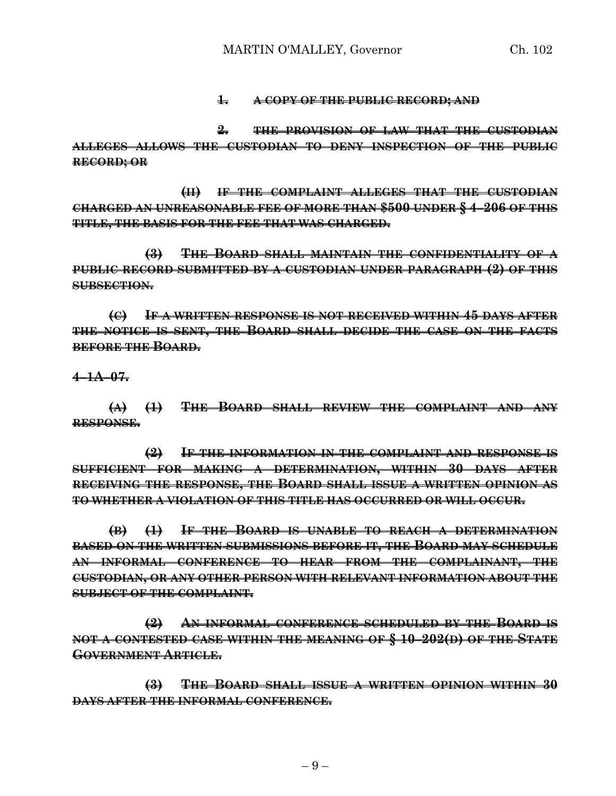#### **1. A COPY OF THE PUBLIC RECORD; AND**

**2. THE PROVISION OF LAW THAT THE CUSTODIAN ALLEGES ALLOWS THE CUSTODIAN TO DENY INSPECTION OF THE PUBLIC RECORD; OR**

**(II) IF THE COMPLAINT ALLEGES THAT THE CUSTODIAN CHARGED AN UNREASONABLE FEE OF MORE THAN \$500 UNDER § 4–206 OF THIS TITLE, THE BASIS FOR THE FEE THAT WAS CHARGED.**

**(3) THE BOARD SHALL MAINTAIN THE CONFIDENTIALITY OF A PUBLIC RECORD SUBMITTED BY A CUSTODIAN UNDER PARAGRAPH (2) OF THIS SUBSECTION.**

**(C) IF A WRITTEN RESPONSE IS NOT RECEIVED WITHIN 45 DAYS AFTER THE NOTICE IS SENT, THE BOARD SHALL DECIDE THE CASE ON THE FACTS BEFORE THE BOARD.**

#### **4–1A–07.**

**(A) (1) THE BOARD SHALL REVIEW THE COMPLAINT AND ANY RESPONSE.**

**(2) IF THE INFORMATION IN THE COMPLAINT AND RESPONSE IS SUFFICIENT FOR MAKING A DETERMINATION, WITHIN 30 DAYS AFTER RECEIVING THE RESPONSE, THE BOARD SHALL ISSUE A WRITTEN OPINION AS TO WHETHER A VIOLATION OF THIS TITLE HAS OCCURRED OR WILL OCCUR.**

**(B) (1) IF THE BOARD IS UNABLE TO REACH A DETERMINATION BASED ON THE WRITTEN SUBMISSIONS BEFORE IT, THE BOARD MAY SCHEDULE AN INFORMAL CONFERENCE TO HEAR FROM THE COMPLAINANT, THE CUSTODIAN, OR ANY OTHER PERSON WITH RELEVANT INFORMATION ABOUT THE SUBJECT OF THE COMPLAINT.**

**(2) AN INFORMAL CONFERENCE SCHEDULED BY THE BOARD IS NOT A CONTESTED CASE WITHIN THE MEANING OF § 10–202(D) OF THE STATE GOVERNMENT ARTICLE.**

**(3) THE BOARD SHALL ISSUE A WRITTEN OPINION WITHIN 30 DAYS AFTER THE INFORMAL CONFERENCE.**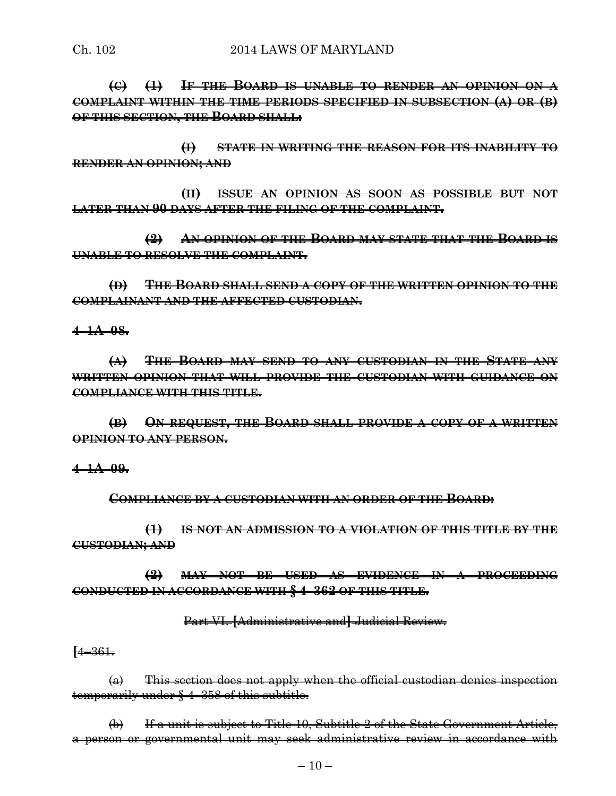### Ch. 102 2014 LAWS OF MARYLAND

**(C) (1) IF THE BOARD IS UNABLE TO RENDER AN OPINION ON A COMPLAINT WITHIN THE TIME PERIODS SPECIFIED IN SUBSECTION (A) OR (B) OF THIS SECTION, THE BOARD SHALL:**

**(I) STATE IN WRITING THE REASON FOR ITS INABILITY TO RENDER AN OPINION; AND**

**(II) ISSUE AN OPINION AS SOON AS POSSIBLE BUT NOT LATER THAN 90 DAYS AFTER THE FILING OF THE COMPLAINT.**

**(2) AN OPINION OF THE BOARD MAY STATE THAT THE BOARD IS UNABLE TO RESOLVE THE COMPLAINT.**

**(D) THE BOARD SHALL SEND A COPY OF THE WRITTEN OPINION TO THE COMPLAINANT AND THE AFFECTED CUSTODIAN.**

**4–1A–08.**

**(A) THE BOARD MAY SEND TO ANY CUSTODIAN IN THE STATE ANY WRITTEN OPINION THAT WILL PROVIDE THE CUSTODIAN WITH GUIDANCE ON COMPLIANCE WITH THIS TITLE.**

**(B) ON REQUEST, THE BOARD SHALL PROVIDE A COPY OF A WRITTEN OPINION TO ANY PERSON.**

**4–1A–09.**

**COMPLIANCE BY A CUSTODIAN WITH AN ORDER OF THE BOARD:**

**(1) IS NOT AN ADMISSION TO A VIOLATION OF THIS TITLE BY THE CUSTODIAN; AND**

**(2) MAY NOT BE USED AS EVIDENCE IN A PROCEEDING CONDUCTED IN ACCORDANCE WITH § 4–362 OF THIS TITLE.**

Part VI. **[**Administrative and**]** Judicial Review.

**[**4–361.

 $(a)$  This section does not apply when the official custodian denies inspection temporarily under § 4–358 of this subtitle.

(b) If a unit is subject to Title 10, Subtitle 2 of the State Government Article, a person or governmental unit may seek administrative review in accordance with